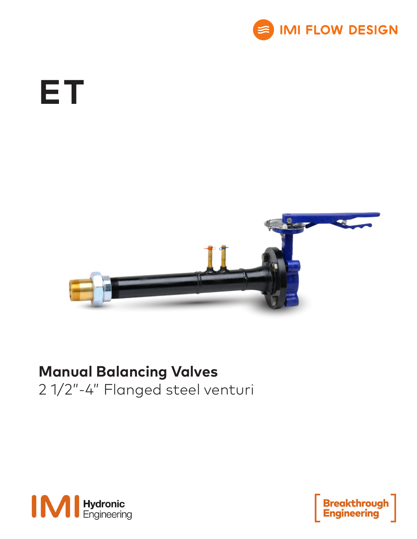

# **ET**



## **Manual Balancing Valves**

2 1/2"-4" Flanged steel venturi



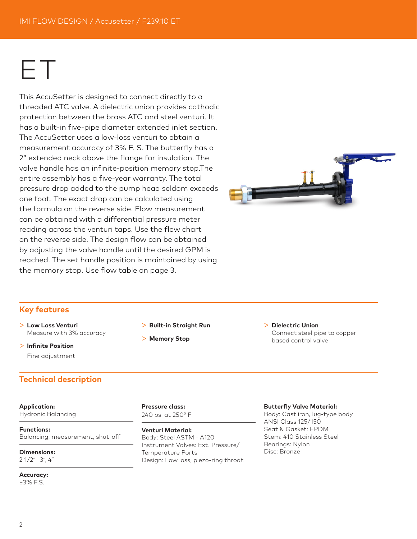## ET

This AccuSetter is designed to connect directly to a threaded ATC valve. A dielectric union provides cathodic protection between the brass ATC and steel venturi. It has a built-in five-pipe diameter extended inlet section. The AccuSetter uses a low-loss venturi to obtain a measurement accuracy of 3% F. S. The butterfly has a 2" extended neck above the flange for insulation. The valve handle has an infinite-position memory stop.The entire assembly has a five-year warranty. The total pressure drop added to the pump head seldom exceeds one foot. The exact drop can be calculated using the formula on the reverse side. Flow measurement can be obtained with a differential pressure meter reading across the venturi taps. Use the flow chart on the reverse side. The design flow can be obtained by adjusting the valve handle until the desired GPM is reached. The set handle position is maintained by using the memory stop. Use flow table on page 3.



### **Key features**

- > **Low Loss Venturi** Measure with 3% accuracy
- > **Infinite Position** Fine adjustment

## **Technical description**

**Application:** Hydronic Balancing

**Functions:** Balancing, measurement, shut-off

**Dimensions:** 2 1/2"- 3", 4"

**Accuracy:** ±3% F.S.

- > **Built-in Straight Run**
- > **Memory Stop**

> **Dielectric Union** Connect steel pipe to copper based control valve

**Pressure class:** 240 psi at 250° F

**Venturi Material:** Body: Steel ASTM - A120 Instrument Valves: Ext. Pressure/ Temperature Ports Design: Low loss, piezo-ring throat

#### **Butterfly Valve Material:**

Body: Cast iron, lug-type body ANSI Class 125/150 Seat & Gasket: EPDM Stem: 410 Stainless Steel Bearings: Nylon Disc: Bronze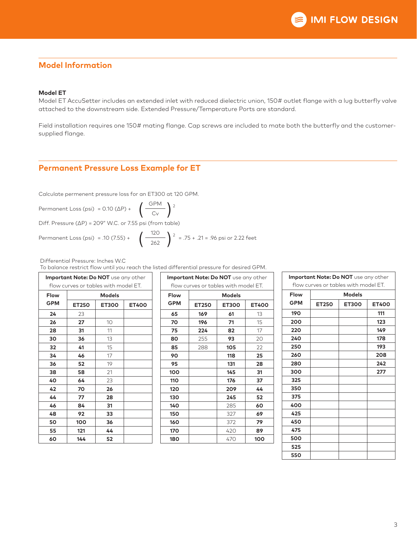## **Model Information**

#### **Model ET**

Model ET AccuSetter includes an extended inlet with reduced dielectric union, 150# outlet flange with a lug butterfly valve attached to the downstream side. Extended Pressure/Temperature Ports are standard.

Field installation requires one 150# mating flange. Cap screws are included to mate both the butterfly and the customersupplied flange.

## **Permanent Pressure Loss Example for ET**

Calculate permenent pressure loss for an ET300 at 120 GPM.

$$
Permanent Loss (psi) = 0.10 ( \Delta P) + \left(\frac{GPM}{Cv}\right)^2
$$

Diff. Pressure (∆P) = 209" W.C. or 7.55 psi (from table)

Permanent Loss (psi) = .10 (7.55) + 
$$
\left(\frac{120}{262}\right)^2
$$
 = .75 + .21 = .96 psi or 2.22 feet

Differential Pressure: Inches W.C

To balance restrict flow until you reach the listed differential pressure for desired GPM.

| Important Note: Do NOT use any other |                                                       |              |              |  |
|--------------------------------------|-------------------------------------------------------|--------------|--------------|--|
| Flow                                 | flow curves or tables with model ET.<br><b>Models</b> |              |              |  |
| <b>GPM</b>                           | <b>ET250</b>                                          | <b>ET300</b> | <b>ET400</b> |  |
| 24                                   | 23                                                    |              |              |  |
| 26                                   | 27                                                    | 10           |              |  |
| 28                                   | 31                                                    | 11           |              |  |
| 30                                   | 36                                                    | 13           |              |  |
| 32                                   | 41                                                    | 15           |              |  |
| 34                                   | 46                                                    | 17           |              |  |
| 36                                   | 52                                                    | 19           |              |  |
| 38                                   | 58                                                    | 21           |              |  |
| 40                                   | 64                                                    | 23           |              |  |
| 42                                   | 70                                                    | 26           |              |  |
| 44                                   | 77                                                    | 28           |              |  |
| 46                                   | 84                                                    | 31           |              |  |
| 48                                   | 92                                                    | 33           |              |  |
| 50                                   | 100                                                   | 36           |              |  |
| 55                                   | 121                                                   | 44           |              |  |
| 60                                   | 144                                                   | 52           |              |  |

|            |               | Important Note: Do NOT use any other |              |  |
|------------|---------------|--------------------------------------|--------------|--|
|            |               | flow curves or tables with model ET. |              |  |
| Flow       | <b>Models</b> |                                      |              |  |
| <b>GPM</b> | <b>ET250</b>  | <b>ET300</b>                         | <b>ET400</b> |  |
| 65         | 169           | 61                                   | 13           |  |
| 70         | 196           | 71                                   | 15           |  |
| 75         | 224           | 82                                   | 17           |  |
| 80         | 255           | 93                                   | 20           |  |
| 85         | 288           | 105                                  | 22           |  |
| 90         |               | 118                                  | 25           |  |
| 95         |               | 131                                  | 28           |  |
| 100        |               | 145                                  | 31           |  |
| 110        |               | 176                                  | 37           |  |
| 120        |               | 209                                  | 44           |  |
| 130        |               | 245                                  | 52           |  |
| 140        |               | 285                                  | 60           |  |
| 150        |               | 327                                  | 69           |  |
| 160        |               | 372                                  | 79           |  |
| 170        |               | 420                                  | 89           |  |
| 180        |               | 470                                  | 100          |  |

| Important Note: Do NOT use any other<br>flow curves or tables with model ET. |               |              |              |  |
|------------------------------------------------------------------------------|---------------|--------------|--------------|--|
| Flow                                                                         | <b>Models</b> |              |              |  |
| <b>GPM</b>                                                                   | <b>ET250</b>  | <b>ET300</b> | <b>ET400</b> |  |
| 190                                                                          |               |              | 111          |  |
| 200                                                                          |               |              | 123          |  |
| 220                                                                          |               |              | 149          |  |
| 240                                                                          |               |              | 178          |  |
| 250                                                                          |               |              | 193          |  |
| 260                                                                          |               |              | 208          |  |
| 280                                                                          |               |              | 242          |  |
| 300                                                                          |               |              | 277          |  |
| 325                                                                          |               |              |              |  |
| 350                                                                          |               |              |              |  |
| 375                                                                          |               |              |              |  |
| 400                                                                          |               |              |              |  |
| 425                                                                          |               |              |              |  |
| 450                                                                          |               |              |              |  |
| 475                                                                          |               |              |              |  |
| 500                                                                          |               |              |              |  |
| 525                                                                          |               |              |              |  |
| 550                                                                          |               |              |              |  |